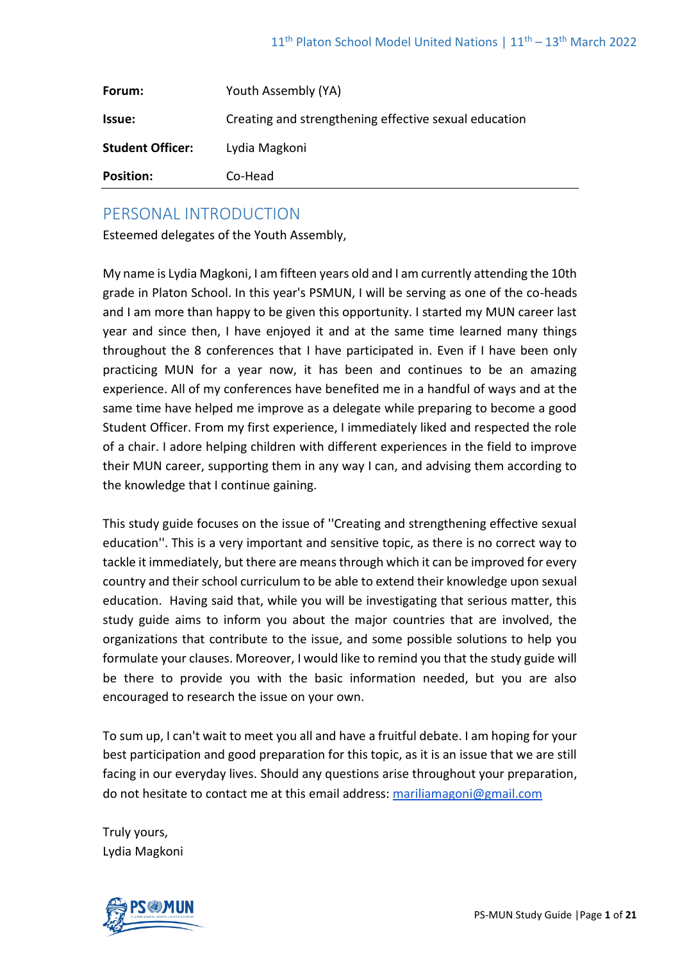| Forum:                  | Youth Assembly (YA)                                   |
|-------------------------|-------------------------------------------------------|
| Issue:                  | Creating and strengthening effective sexual education |
| <b>Student Officer:</b> | Lydia Magkoni                                         |
| <b>Position:</b>        | Co-Head                                               |

# PERSONAL INTRODUCTION

Esteemed delegates of the Youth Assembly,

My name is Lydia Magkoni, I am fifteen years old and I am currently attending the 10th grade in Platon School. In this year's PSMUN, I will be serving as one of the co-heads and I am more than happy to be given this opportunity. I started my MUN career last year and since then, I have enjoyed it and at the same time learned many things throughout the 8 conferences that I have participated in. Even if I have been only practicing MUN for a year now, it has been and continues to be an amazing experience. All of my conferences have benefited me in a handful of ways and at the same time have helped me improve as a delegate while preparing to become a good Student Officer. From my first experience, I immediately liked and respected the role of a chair. I adore helping children with different experiences in the field to improve their MUN career, supporting them in any way I can, and advising them according to the knowledge that I continue gaining.

This study guide focuses on the issue of ''Creating and strengthening effective sexual education''. This is a very important and sensitive topic, as there is no correct way to tackle it immediately, but there are means through which it can be improved for every country and their school curriculum to be able to extend their knowledge upon sexual education. Having said that, while you will be investigating that serious matter, this study guide aims to inform you about the major countries that are involved, the organizations that contribute to the issue, and some possible solutions to help you formulate your clauses. Moreover, I would like to remind you that the study guide will be there to provide you with the basic information needed, but you are also encouraged to research the issue on your own.

To sum up, I can't wait to meet you all and have a fruitful debate. I am hoping for your best participation and good preparation for this topic, as it is an issue that we are still facing in our everyday lives. Should any questions arise throughout your preparation, do not hesitate to contact me at this email address: [mariliamagoni@gmail.com](mailto:mariliamagoni@gmail.com)

Truly yours, Lydia Magkoni

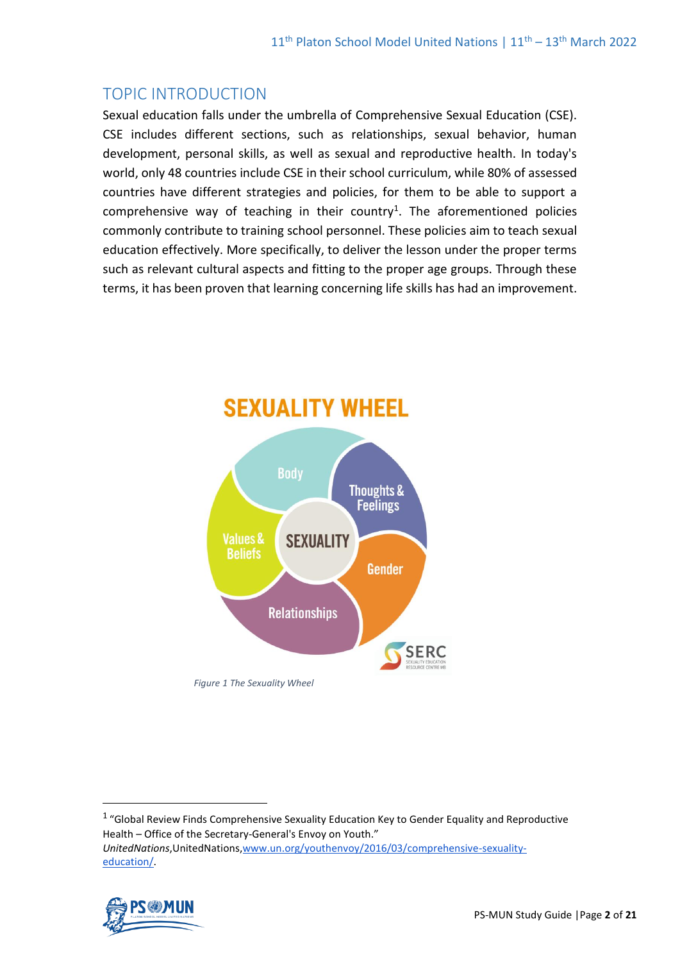# TOPIC INTRODUCTION

Sexual education falls under the umbrella of Comprehensive Sexual Education (CSE). CSE includes different sections, such as relationships, sexual behavior, human development, personal skills, as well as sexual and reproductive health. In today's world, only 48 countries include CSE in their school curriculum, while 80% of assessed countries have different strategies and policies, for them to be able to support a comprehensive way of teaching in their country<sup>1</sup>. The aforementioned policies commonly contribute to training school personnel. These policies aim to teach sexual education effectively. More specifically, to deliver the lesson under the proper terms such as relevant cultural aspects and fitting to the proper age groups. Through these terms, it has been proven that learning concerning life skills has had an improvement.



 $1$  "Global Review Finds Comprehensive Sexuality Education Key to Gender Equality and Reproductive Health – Office of the Secretary-General's Envoy on Youth." *UnitedNations*,UnitedNations[,www.un.org/youthenvoy/2016/03/comprehensive-sexuality](http://www.un.org/youthenvoy/2016/03/comprehensive-sexuality-education/)[education/.](http://www.un.org/youthenvoy/2016/03/comprehensive-sexuality-education/)

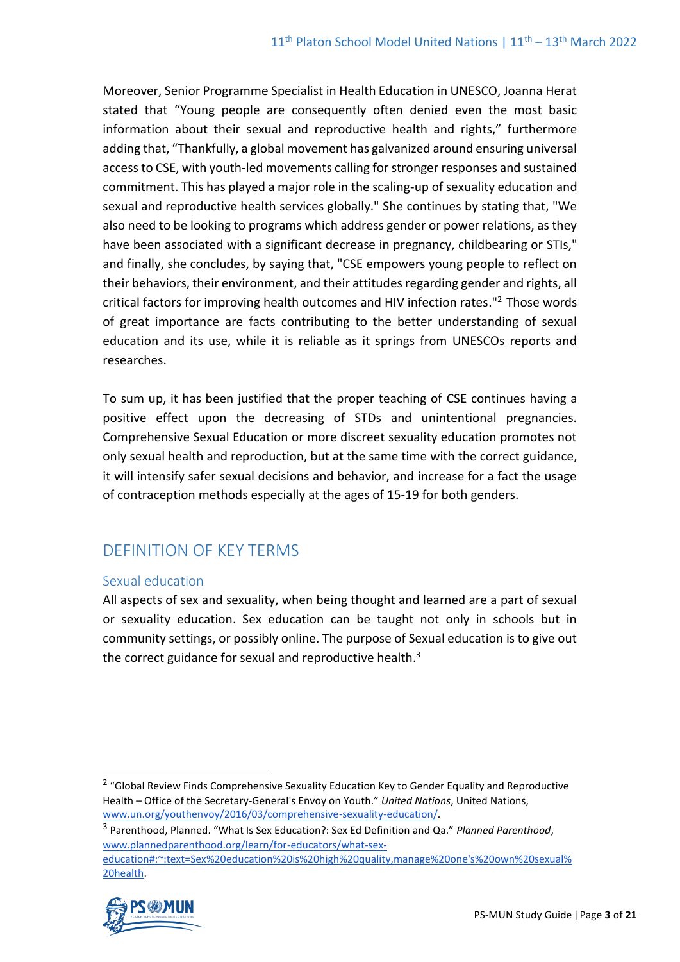Moreover, Senior Programme Specialist in Health Education in UNESCO, Joanna Herat stated that "Young people are consequently often denied even the most basic information about their sexual and reproductive health and rights," furthermore adding that, "Thankfully, a global movement has galvanized around ensuring universal access to CSE, with youth-led movements calling for stronger responses and sustained commitment. This has played a major role in the scaling-up of sexuality education and sexual and reproductive health services globally." She continues by stating that, "We also need to be looking to programs which address gender or power relations, as they have been associated with a significant decrease in pregnancy, childbearing or STIs," and finally, she concludes, by saying that, "CSE empowers young people to reflect on their behaviors, their environment, and their attitudes regarding gender and rights, all critical factors for improving health outcomes and HIV infection rates." $2$  Those words of great importance are facts contributing to the better understanding of sexual education and its use, while it is reliable as it springs from UNESCOs reports and researches.

To sum up, it has been justified that the proper teaching of CSE continues having a positive effect upon the decreasing of STDs and unintentional pregnancies. Comprehensive Sexual Education or more discreet sexuality education promotes not only sexual health and reproduction, but at the same time with the correct guidance, it will intensify safer sexual decisions and behavior, and increase for a fact the usage of contraception methods especially at the ages of 15-19 for both genders.

# DEFINITION OF KEY TERMS

# Sexual education

All aspects of sex and sexuality, when being thought and learned are a part of sexual or sexuality education. Sex education can be taught not only in schools but in community settings, or possibly online. The purpose of Sexual education is to give out the correct guidance for sexual and reproductive health. $3$ 

[20health.](http://www.plannedparenthood.org/learn/for-educators/what-sex-education#:~:text=Sex%20education%20is%20high%20quality,manage%20one)



<sup>&</sup>lt;sup>2</sup> "Global Review Finds Comprehensive Sexuality Education Key to Gender Equality and Reproductive Health – Office of the Secretary-General's Envoy on Youth." *United Nations*, United Nations, [www.un.org/youthenvoy/2016/03/comprehensive-sexuality-education/.](http://www.un.org/youthenvoy/2016/03/comprehensive-sexuality-education/) 

<sup>3</sup> Parenthood, Planned. "What Is Sex Education?: Sex Ed Definition and Qa." *Planned Parenthood*[,](http://www.plannedparenthood.org/learn/for-educators/what-sex-education#:~:text=Sex%20education%20is%20high%20quality,manage%20one) [www.plannedparenthood.org/learn/for-educators/what-sex](http://www.plannedparenthood.org/learn/for-educators/what-sex-education#:~:text=Sex%20education%20is%20high%20quality,manage%20one)[education#:~:text=Sex%20education%20is%20high%20quality,manage%20one's%20own%20sexual%](http://www.plannedparenthood.org/learn/for-educators/what-sex-education#:~:text=Sex%20education%20is%20high%20quality,manage%20one)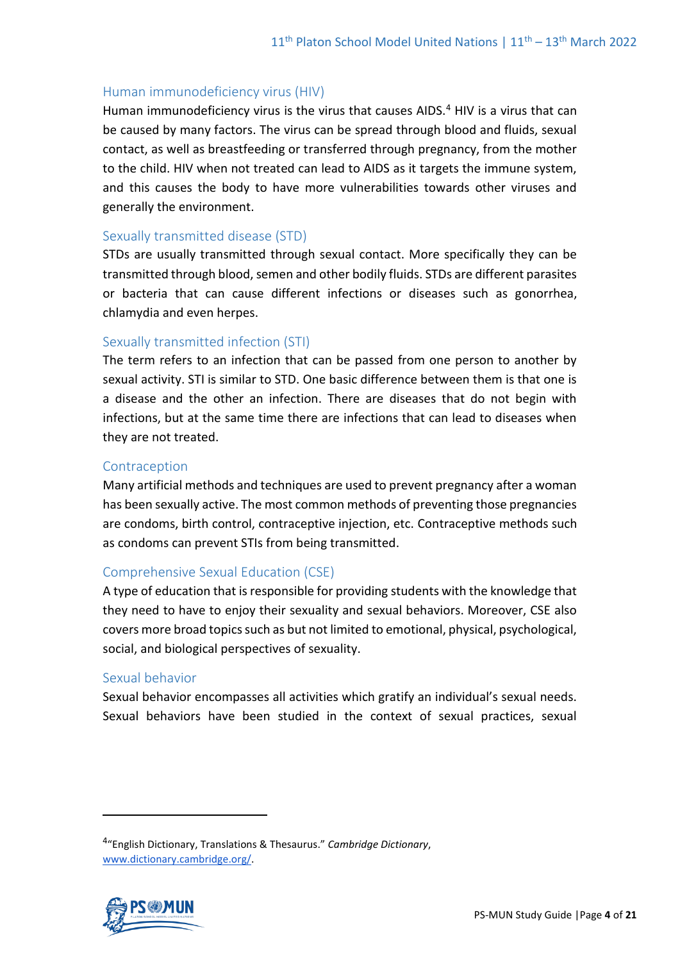# Human immunodeficiency virus (HIV)

Human immunodeficiency virus is the virus that causes AIDS.<sup>4</sup> HIV is a virus that can be caused by many factors. The virus can be spread through blood and fluids, sexual contact, as well as breastfeeding or transferred through pregnancy, from the mother to the child. HIV when not treated can lead to AIDS as it targets the immune system, and this causes the body to have more vulnerabilities towards other viruses and generally the environment.

#### Sexually transmitted disease (STD)

STDs are usually transmitted through sexual contact. More specifically they can be transmitted through blood, semen and other bodily fluids. STDs are different parasites or bacteria that can cause different infections or diseases such as gonorrhea, chlamydia and even herpes.

# Sexually transmitted infection (STI)

The term refers to an infection that can be passed from one person to another by sexual activity. STI is similar to STD. One basic difference between them is that one is a disease and the other an infection. There are diseases that do not begin with infections, but at the same time there are infections that can lead to diseases when they are not treated.

#### Contraception

Many artificial methods and techniques are used to prevent pregnancy after a woman has been sexually active. The most common methods of preventing those pregnancies are condoms, birth control, contraceptive injection, etc. Contraceptive methods such as condoms can prevent STIs from being transmitted.

#### Comprehensive Sexual Education (CSE)

A type of education that is responsible for providing students with the knowledge that they need to have to enjoy their sexuality and sexual behaviors. Moreover, CSE also covers more broad topics such as but not limited to emotional, physical, psychological, social, and biological perspectives of sexuality.

#### Sexual behavior

Sexual behavior encompasses all activities which gratify an individual's sexual needs. Sexual behaviors have been studied in the context of sexual practices, sexual

<sup>4</sup> "English Dictionary, Translations & Thesaurus." *Cambridge Dictionary*, [www.dictionary.cambridge.org/.](http://www.dictionary.cambridge.org/)

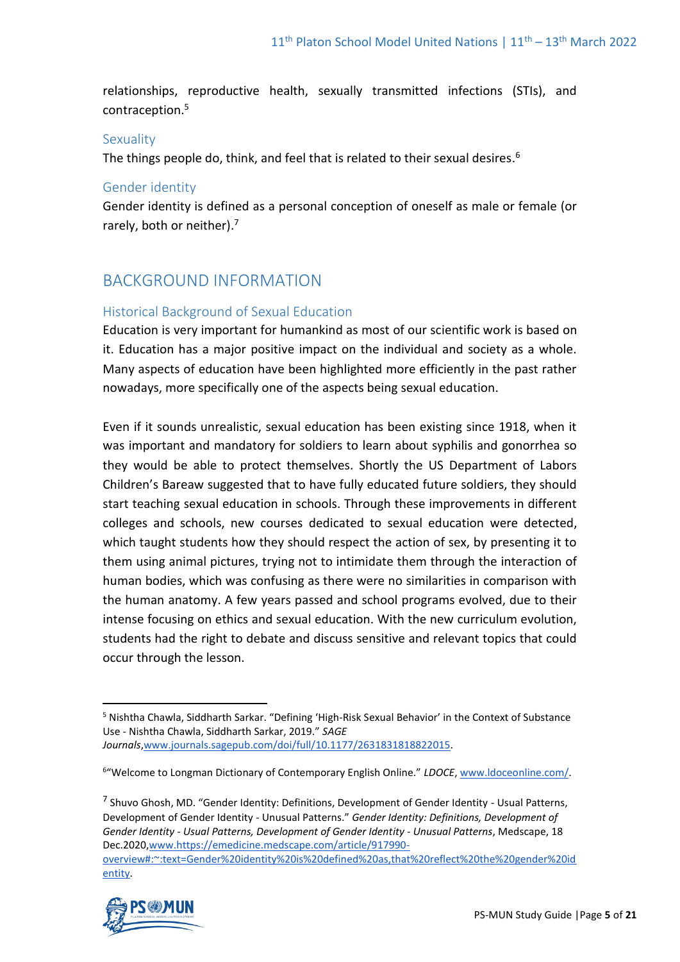relationships, reproductive health, sexually transmitted infections (STIs), and contraception.<sup>5</sup>

# Sexuality

The things people do, think, and feel that is related to their sexual desires.<sup>6</sup>

#### Gender identity

Gender identity is defined as a personal conception of oneself as male or female (or rarely, both or neither).<sup>7</sup>

# BACKGROUND INFORMATION

# Historical Background of Sexual Education

Education is very important for humankind as most of our scientific work is based on it. Education has a major positive impact on the individual and society as a whole. Many aspects of education have been highlighted more efficiently in the past rather nowadays, more specifically one of the aspects being sexual education.

Even if it sounds unrealistic, sexual education has been existing since 1918, when it was important and mandatory for soldiers to learn about syphilis and gonorrhea so they would be able to protect themselves. Shortly the US Department of Labors Children's Bareaw suggested that to have fully educated future soldiers, they should start teaching sexual education in schools. Through these improvements in different colleges and schools, new courses dedicated to sexual education were detected, which taught students how they should respect the action of sex, by presenting it to them using animal pictures, trying not to intimidate them through the interaction of human bodies, which was confusing as there were no similarities in comparison with the human anatomy. A few years passed and school programs evolved, due to their intense focusing on ethics and sexual education. With the new curriculum evolution, students had the right to debate and discuss sensitive and relevant topics that could occur through the lesson.

<sup>7</sup> Shuvo Ghosh, MD. "Gender Identity: Definitions, Development of Gender Identity - Usual Patterns, Development of Gender Identity - Unusual Patterns." *Gender Identity: Definitions, Development of Gender Identity - Usual Patterns, Development of Gender Identity - Unusual Patterns*, Medscape, 18 Dec.202[0,www.https://emedicine.medscape.com/article/917990](about:blank) [overview#:~:text=Gender%20identity%20is%20defined%20as,that%20reflect%20the%20gender%20id](about:blank) [entity.](about:blank)



<sup>5</sup> Nishtha Chawla, Siddharth Sarkar. "Defining 'High-Risk Sexual Behavior' in the Context of Substance Use - Nishtha Chawla, Siddharth Sarkar, 2019." *SAGE Journals*[,www.journals.sagepub.com/doi/full/10.1177/2631831818822015.](http://www.journals.sagepub.com/doi/full/10.1177/2631831818822015) 

<sup>&</sup>lt;sup>6</sup>"Welcome to Longman Dictionary of Contemporary English Online." LDOCE, [www.ldoceonline.com/.](http://www.ldoceonline.com/)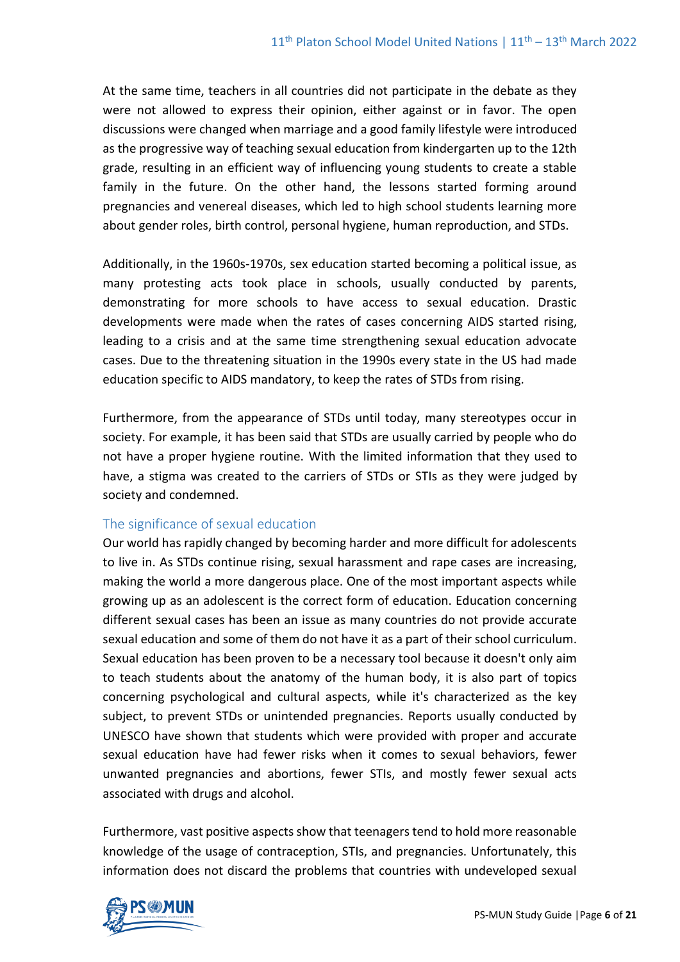At the same time, teachers in all countries did not participate in the debate as they were not allowed to express their opinion, either against or in favor. The open discussions were changed when marriage and a good family lifestyle were introduced as the progressive way of teaching sexual education from kindergarten up to the 12th grade, resulting in an efficient way of influencing young students to create a stable family in the future. On the other hand, the lessons started forming around pregnancies and venereal diseases, which led to high school students learning more about gender roles, birth control, personal hygiene, human reproduction, and STDs.

Additionally, in the 1960s-1970s, sex education started becoming a political issue, as many protesting acts took place in schools, usually conducted by parents, demonstrating for more schools to have access to sexual education. Drastic developments were made when the rates of cases concerning AIDS started rising, leading to a crisis and at the same time strengthening sexual education advocate cases. Due to the threatening situation in the 1990s every state in the US had made education specific to AIDS mandatory, to keep the rates of STDs from rising.

Furthermore, from the appearance of STDs until today, many stereotypes occur in society. For example, it has been said that STDs are usually carried by people who do not have a proper hygiene routine. With the limited information that they used to have, a stigma was created to the carriers of STDs or STIs as they were judged by society and condemned.

# The significance of sexual education

Our world has rapidly changed by becoming harder and more difficult for adolescents to live in. As STDs continue rising, sexual harassment and rape cases are increasing, making the world a more dangerous place. One of the most important aspects while growing up as an adolescent is the correct form of education. Education concerning different sexual cases has been an issue as many countries do not provide accurate sexual education and some of them do not have it as a part of their school curriculum. Sexual education has been proven to be a necessary tool because it doesn't only aim to teach students about the anatomy of the human body, it is also part of topics concerning psychological and cultural aspects, while it's characterized as the key subject, to prevent STDs or unintended pregnancies. Reports usually conducted by UNESCO have shown that students which were provided with proper and accurate sexual education have had fewer risks when it comes to sexual behaviors, fewer unwanted pregnancies and abortions, fewer STIs, and mostly fewer sexual acts associated with drugs and alcohol.

Furthermore, vast positive aspects show that teenagers tend to hold more reasonable knowledge of the usage of contraception, STIs, and pregnancies. Unfortunately, this information does not discard the problems that countries with undeveloped sexual

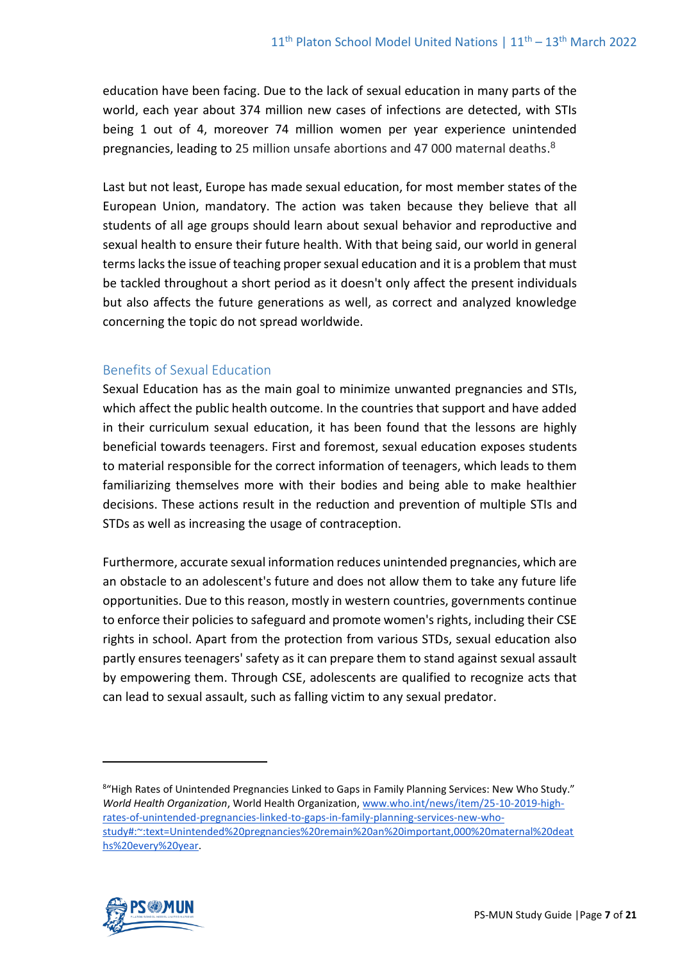education have been facing. Due to the lack of sexual education in many parts of the world, each year about 374 million new cases of infections are detected, with STIs being 1 out of 4, moreover 74 million women per year experience unintended pregnancies, leading to 25 million unsafe abortions and 47 000 maternal deaths.<sup>8</sup>

Last but not least, Europe has made sexual education, for most member states of the European Union, mandatory. The action was taken because they believe that all students of all age groups should learn about sexual behavior and reproductive and sexual health to ensure their future health. With that being said, our world in general terms lacks the issue of teaching proper sexual education and it is a problem that must be tackled throughout a short period as it doesn't only affect the present individuals but also affects the future generations as well, as correct and analyzed knowledge concerning the topic do not spread worldwide.

# Benefits of Sexual Education

Sexual Education has as the main goal to minimize unwanted pregnancies and STIs, which affect the public health outcome. In the countries that support and have added in their curriculum sexual education, it has been found that the lessons are highly beneficial towards teenagers. First and foremost, sexual education exposes students to material responsible for the correct information of teenagers, which leads to them familiarizing themselves more with their bodies and being able to make healthier decisions. These actions result in the reduction and prevention of multiple STIs and STDs as well as increasing the usage of contraception.

Furthermore, accurate sexual information reduces unintended pregnancies, which are an obstacle to an adolescent's future and does not allow them to take any future life opportunities. Due to this reason, mostly in western countries, governments continue to enforce their policies to safeguard and promote women's rights, including their CSE rights in school. Apart from the protection from various STDs, sexual education also partly ensures teenagers' safety as it can prepare them to stand against sexual assault by empowering them. Through CSE, adolescents are qualified to recognize acts that can lead to sexual assault, such as falling victim to any sexual predator.

<sup>8&</sup>quot;High Rates of Unintended Pregnancies Linked to Gaps in Family Planning Services: New Who Study." *World Health Organization*, World Health Organization, [www.who.int/news/item/25-10-2019-high](http://www.who.int/news/item/25-10-2019-high-rates-of-unintended-pregnancies-linked-to-gaps-in-family-planning-services-new-who-study#:~:text=Unintended%20pregnancies%20remain%20an%20important,000%20maternal%20deaths%20every%20year)[rates-of-unintended-pregnancies-linked-to-gaps-in-family-planning-services-new-who](http://www.who.int/news/item/25-10-2019-high-rates-of-unintended-pregnancies-linked-to-gaps-in-family-planning-services-new-who-study#:~:text=Unintended%20pregnancies%20remain%20an%20important,000%20maternal%20deaths%20every%20year)[study#:~:text=Unintended%20pregnancies%20remain%20an%20important,000%20maternal%20deat](http://www.who.int/news/item/25-10-2019-high-rates-of-unintended-pregnancies-linked-to-gaps-in-family-planning-services-new-who-study#:~:text=Unintended%20pregnancies%20remain%20an%20important,000%20maternal%20deaths%20every%20year) [hs%20every%20year.](http://www.who.int/news/item/25-10-2019-high-rates-of-unintended-pregnancies-linked-to-gaps-in-family-planning-services-new-who-study#:~:text=Unintended%20pregnancies%20remain%20an%20important,000%20maternal%20deaths%20every%20year)

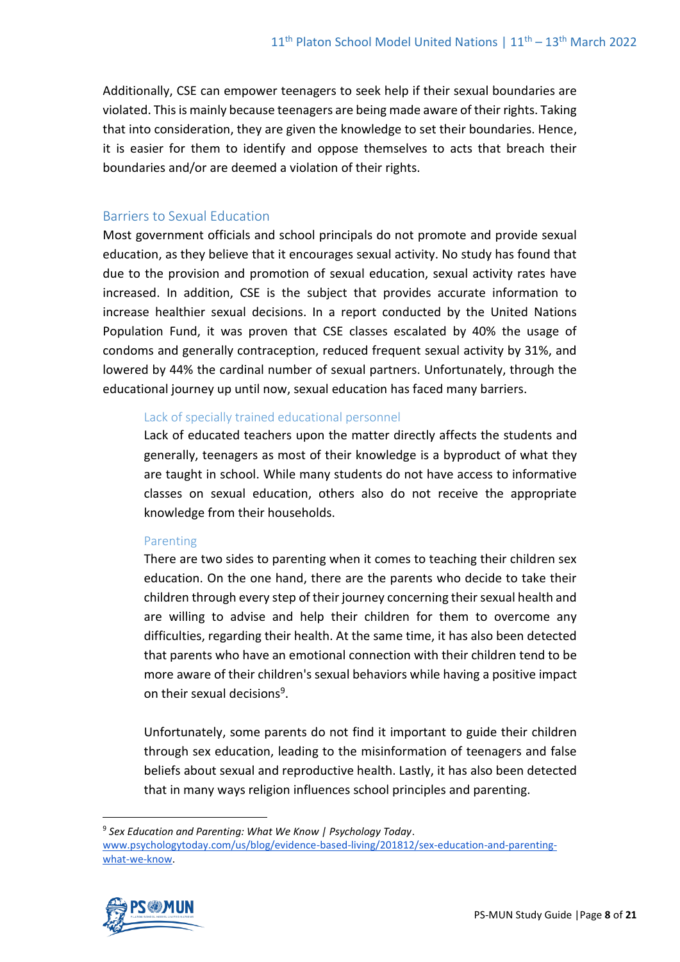Additionally, CSE can empower teenagers to seek help if their sexual boundaries are violated. This is mainly because teenagers are being made aware of their rights. Taking that into consideration, they are given the knowledge to set their boundaries. Hence, it is easier for them to identify and oppose themselves to acts that breach their boundaries and/or are deemed a violation of their rights.

### Barriers to Sexual Education

Most government officials and school principals do not promote and provide sexual education, as they believe that it encourages sexual activity. No study has found that due to the provision and promotion of sexual education, sexual activity rates have increased. In addition, CSE is the subject that provides accurate information to increase healthier sexual decisions. In a report conducted by the United Nations Population Fund, it was proven that CSE classes escalated by 40% the usage of condoms and generally contraception, reduced frequent sexual activity by 31%, and lowered by 44% the cardinal number of sexual partners. Unfortunately, through the educational journey up until now, sexual education has faced many barriers.

#### Lack of specially trained educational personnel

Lack of educated teachers upon the matter directly affects the students and generally, teenagers as most of their knowledge is a byproduct of what they are taught in school. While many students do not have access to informative classes on sexual education, others also do not receive the appropriate knowledge from their households.

#### **Parenting**

There are two sides to parenting when it comes to teaching their children sex education. On the one hand, there are the parents who decide to take their children through every step of their journey concerning their sexual health and are willing to advise and help their children for them to overcome any difficulties, regarding their health. At the same time, it has also been detected that parents who have an emotional connection with their children tend to be more aware of their children's sexual behaviors while having a positive impact on their sexual decisions<sup>9</sup>.

Unfortunately, some parents do not find it important to guide their children through sex education, leading to the misinformation of teenagers and false beliefs about sexual and reproductive health. Lastly, it has also been detected that in many ways religion influences school principles and parenting.

<sup>9</sup> *Sex Education and Parenting: What We Know | Psychology Today*. [www.psychologytoday.com/us/blog/evidence-based-living/201812/sex-education-and-parenting](http://www.psychologytoday.com/us/blog/evidence-based-living/201812/sex-education-and-parenting-what-we-know)[what-we-know.](http://www.psychologytoday.com/us/blog/evidence-based-living/201812/sex-education-and-parenting-what-we-know)

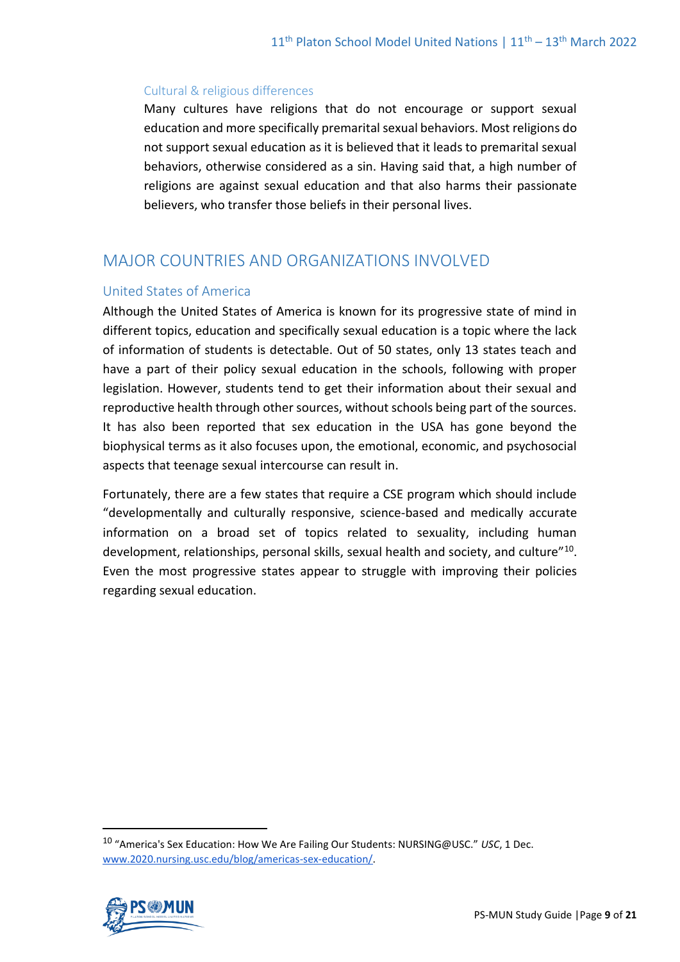#### Cultural & religious differences

Many cultures have religions that do not encourage or support sexual education and more specifically premarital sexual behaviors. Most religions do not support sexual education as it is believed that it leads to premarital sexual behaviors, otherwise considered as a sin. Having said that, a high number of religions are against sexual education and that also harms their passionate believers, who transfer those beliefs in their personal lives.

# MAJOR COUNTRIES AND ORGANIZATIONS INVOLVED

#### United States of America

Although the United States of America is known for its progressive state of mind in different topics, education and specifically sexual education is a topic where the lack of information of students is detectable. Out of 50 states, only 13 states teach and have a part of their policy sexual education in the schools, following with proper legislation. However, students tend to get their information about their sexual and reproductive health through other sources, without schools being part of the sources. It has also been reported that sex education in the USA has gone beyond the biophysical terms as it also focuses upon, the emotional, economic, and psychosocial aspects that teenage sexual intercourse can result in.

Fortunately, there are a few states that require a CSE program which should include "developmentally and culturally responsive, science-based and medically accurate information on a broad set of topics related to sexuality, including human development, relationships, personal skills, sexual health and society, and culture"<sup>10</sup>. Even the most progressive states appear to struggle with improving their policies regarding sexual education.

<sup>10</sup> "America's Sex Education: How We Are Failing Our Students: NURSING@USC." *USC*, 1 Dec. [www.2020.nursing.usc.edu/blog/americas-sex-education/.](http://www.2020.nursing.usc.edu/blog/americas-sex-education/) 

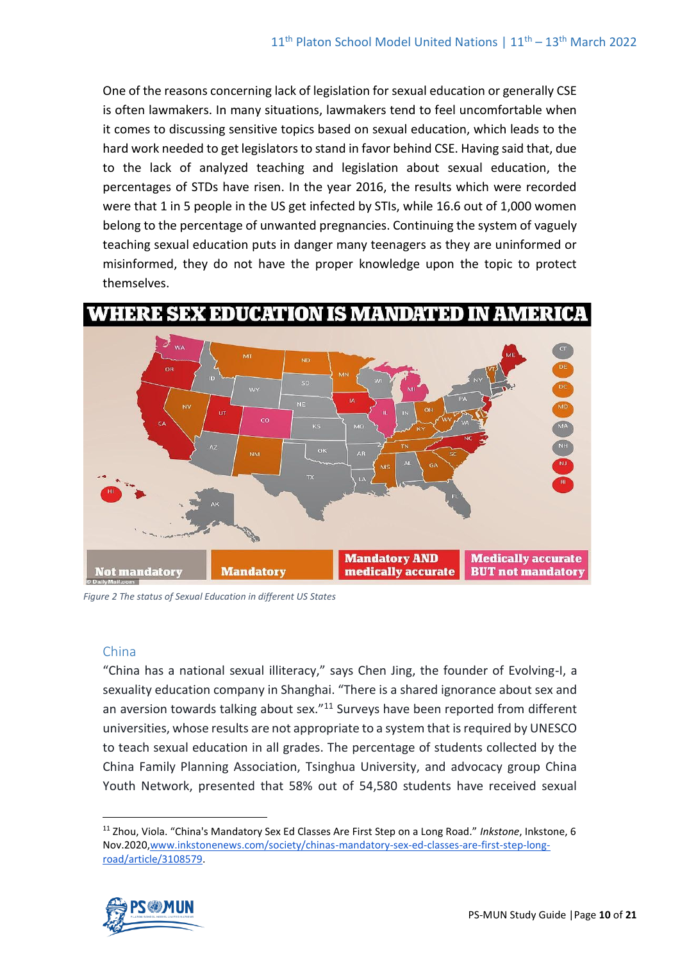One of the reasons concerning lack of legislation for sexual education or generally CSE is often lawmakers. In many situations, lawmakers tend to feel uncomfortable when it comes to discussing sensitive topics based on sexual education, which leads to the hard work needed to get legislators to stand in favor behind CSE. Having said that, due to the lack of analyzed teaching and legislation about sexual education, the percentages of STDs have risen. In the year 2016, the results which were recorded were that 1 in 5 people in the US get infected by STIs, while 16.6 out of 1,000 women belong to the percentage of unwanted pregnancies. Continuing the system of vaguely teaching sexual education puts in danger many teenagers as they are uninformed or misinformed, they do not have the proper knowledge upon the topic to protect themselves.





*Figure 2 The status of Sexual Education in different US States*

# China

"China has a national sexual illiteracy," says Chen Jing, the founder of Evolving-I, a sexuality education company in Shanghai. "There is a shared ignorance about sex and an aversion towards talking about sex."<sup>11</sup> Surveys have been reported from different universities, whose results are not appropriate to a system that is required by UNESCO to teach sexual education in all grades. The percentage of students collected by the China Family Planning Association, Tsinghua University, and advocacy group China Youth Network, presented that 58% out of 54,580 students have received sexual

<sup>11</sup> Zhou, Viola. "China's Mandatory Sex Ed Classes Are First Step on a Long Road." *Inkstone*, Inkstone, 6 Nov.202[0,www.inkstonenews.com/society/chinas-mandatory-sex-ed-classes-are-first-step-long](http://www.inkstonenews.com/society/chinas-mandatory-sex-ed-classes-are-first-step-long-road/article/3108579)[road/article/3108579.](http://www.inkstonenews.com/society/chinas-mandatory-sex-ed-classes-are-first-step-long-road/article/3108579) 

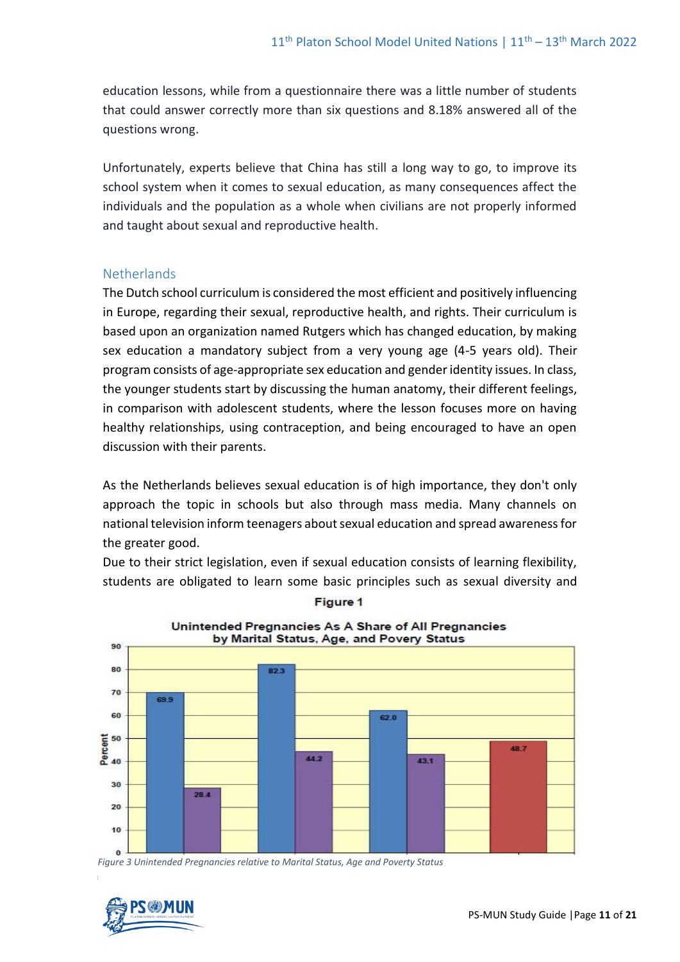education lessons, while from a questionnaire there was a little number of students that could answer correctly more than six questions and 8.18% answered all of the questions wrong.

Unfortunately, experts believe that China has still a long way to go, to improve its school system when it comes to sexual education, as many consequences affect the individuals and the population as a whole when civilians are not properly informed and taught about sexual and reproductive health.

#### **Netherlands**

The Dutch school curriculum is considered the most efficient and positively influencing in Europe, regarding their sexual, reproductive health, and rights. Their curriculum is based upon an organization named Rutgers which has changed education, by making sex education a mandatory subject from a very young age (4-5 years old). Their program consists of age-appropriate sex education and gender identity issues. In class, the younger students start by discussing the human anatomy, their different feelings, in comparison with adolescent students, where the lesson focuses more on having healthy relationships, using contraception, and being encouraged to have an open discussion with their parents.

As the Netherlands believes sexual education is of high importance, they don't only approach the topic in schools but also through mass media. Many channels on national television inform teenagers about sexual education and spread awareness for the greater good.

Due to their strict legislation, even if sexual education consists of learning flexibility, students are obligated to learn some basic principles such as sexual diversity and



Unintended Pregnancies As A Share of All Pregnancies

**Figure 1** 

*Figure 3 Unintended Pregnancies relative to Marital Status, Age and Poverty Status*

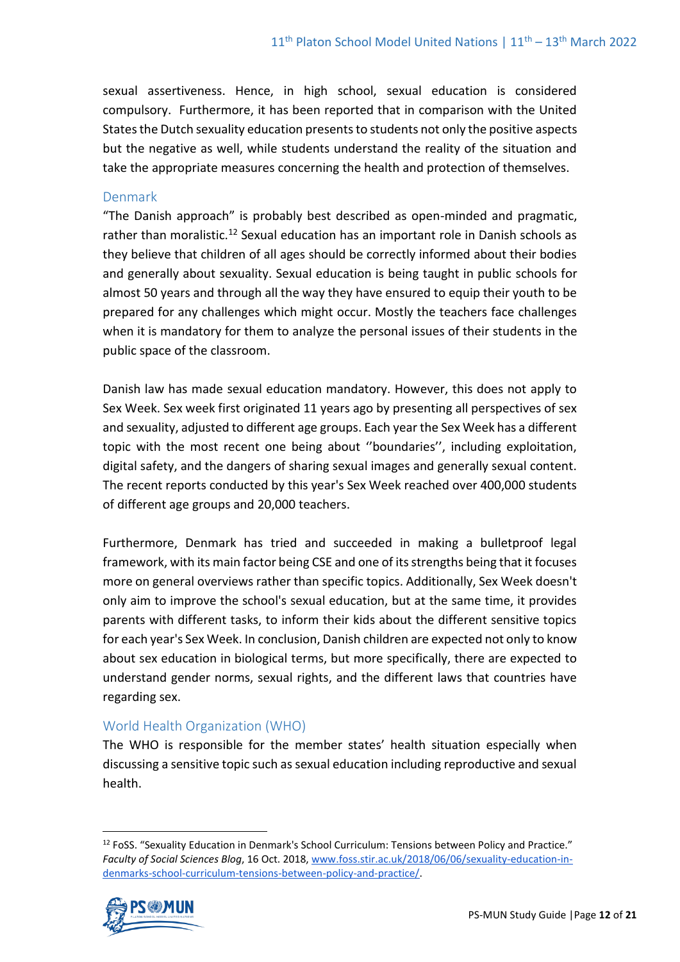sexual assertiveness. Hence, in high school, sexual education is considered compulsory. Furthermore, it has been reported that in comparison with the United States the Dutch sexuality education presents to students not only the positive aspects but the negative as well, while students understand the reality of the situation and take the appropriate measures concerning the health and protection of themselves.

#### Denmark

"The Danish approach" is probably best described as open-minded and pragmatic, rather than moralistic.<sup>12</sup> Sexual education has an important role in Danish schools as they believe that children of all ages should be correctly informed about their bodies and generally about sexuality. Sexual education is being taught in public schools for almost 50 years and through all the way they have ensured to equip their youth to be prepared for any challenges which might occur. Mostly the teachers face challenges when it is mandatory for them to analyze the personal issues of their students in the public space of the classroom.

Danish law has made sexual education mandatory. However, this does not apply to Sex Week. Sex week first originated 11 years ago by presenting all perspectives of sex and sexuality, adjusted to different age groups. Each year the Sex Week has a different topic with the most recent one being about ''boundaries'', including exploitation, digital safety, and the dangers of sharing sexual images and generally sexual content. The recent reports conducted by this year's Sex Week reached over 400,000 students of different age groups and 20,000 teachers.

Furthermore, Denmark has tried and succeeded in making a bulletproof legal framework, with its main factor being CSE and one of its strengths being that it focuses more on general overviews rather than specific topics. Additionally, Sex Week doesn't only aim to improve the school's sexual education, but at the same time, it provides parents with different tasks, to inform their kids about the different sensitive topics for each year's Sex Week. In conclusion, Danish children are expected not only to know about sex education in biological terms, but more specifically, there are expected to understand gender norms, sexual rights, and the different laws that countries have regarding sex.

# World Health Organization (WHO)

The WHO is responsible for the member states' health situation especially when discussing a sensitive topic such as sexual education including reproductive and sexual health.

<sup>12</sup> FoSS. "Sexuality Education in Denmark's School Curriculum: Tensions between Policy and Practice." *Faculty of Social Sciences Blog*, 16 Oct. 2018, [www.foss.stir.ac.uk/2018/06/06/sexuality-education-in](http://www.foss.stir.ac.uk/2018/06/06/sexuality-education-in-denmarks-school-curriculum-tensions-between-policy-and-practice/)[denmarks-school-curriculum-tensions-between-policy-and-practice/.](http://www.foss.stir.ac.uk/2018/06/06/sexuality-education-in-denmarks-school-curriculum-tensions-between-policy-and-practice/) 

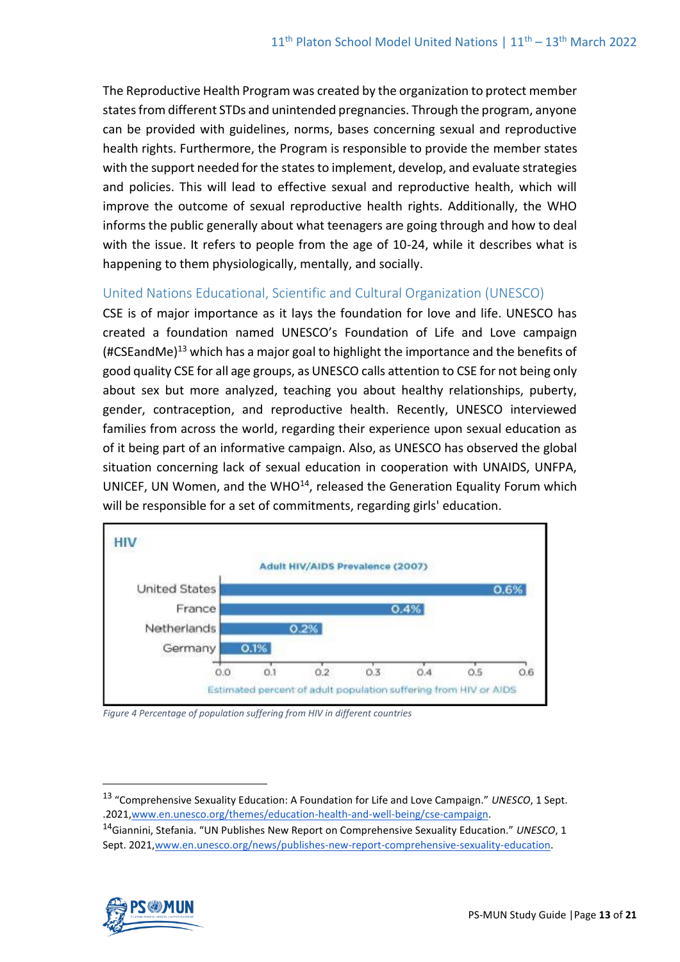The Reproductive Health Program was created by the organization to protect member states from different STDs and unintended pregnancies. Through the program, anyone can be provided with guidelines, norms, bases concerning sexual and reproductive health rights. Furthermore, the Program is responsible to provide the member states with the support needed for the states to implement, develop, and evaluate strategies and policies. This will lead to effective sexual and reproductive health, which will improve the outcome of sexual reproductive health rights. Additionally, the WHO informs the public generally about what teenagers are going through and how to deal with the issue. It refers to people from the age of 10-24, while it describes what is happening to them physiologically, mentally, and socially.

# United Nations Educational, Scientific and Cultural Organization (UNESCO)

CSE is of major importance as it lays the foundation for love and life. UNESCO has created a foundation named UNESCO's Foundation of Life and Love campaign (#CSEandMe)<sup>13</sup> which has a major goal to highlight the importance and the benefits of good quality CSE for all age groups, as UNESCO calls attention to CSE for not being only about sex but more analyzed, teaching you about healthy relationships, puberty, gender, contraception, and reproductive health. Recently, UNESCO interviewed families from across the world, regarding their experience upon sexual education as of it being part of an informative campaign. Also, as UNESCO has observed the global situation concerning lack of sexual education in cooperation with UNAIDS, UNFPA, UNICEF, UN Women, and the WHO $^{14}$ , released the Generation Equality Forum which will be responsible for a set of commitments, regarding girls' education.



*Figure 4 Percentage of population suffering from HIV in different countries*

<sup>14</sup>Giannini, Stefania. "UN Publishes New Report on Comprehensive Sexuality Education." *UNESCO*, 1 Sept. 202[1,www.en.unesco.org/news/publishes-new-report-comprehensive-sexuality-education.](http://www.en.unesco.org/news/publishes-new-report-comprehensive-sexuality-education)



<sup>13</sup> "Comprehensive Sexuality Education: A Foundation for Life and Love Campaign." *UNESCO*, 1 Sept. .2021[,www.en.unesco.org/themes/education-health-and-well-being/cse-campaign.](http://www.en.unesco.org/themes/education-health-and-well-being/cse-campaign)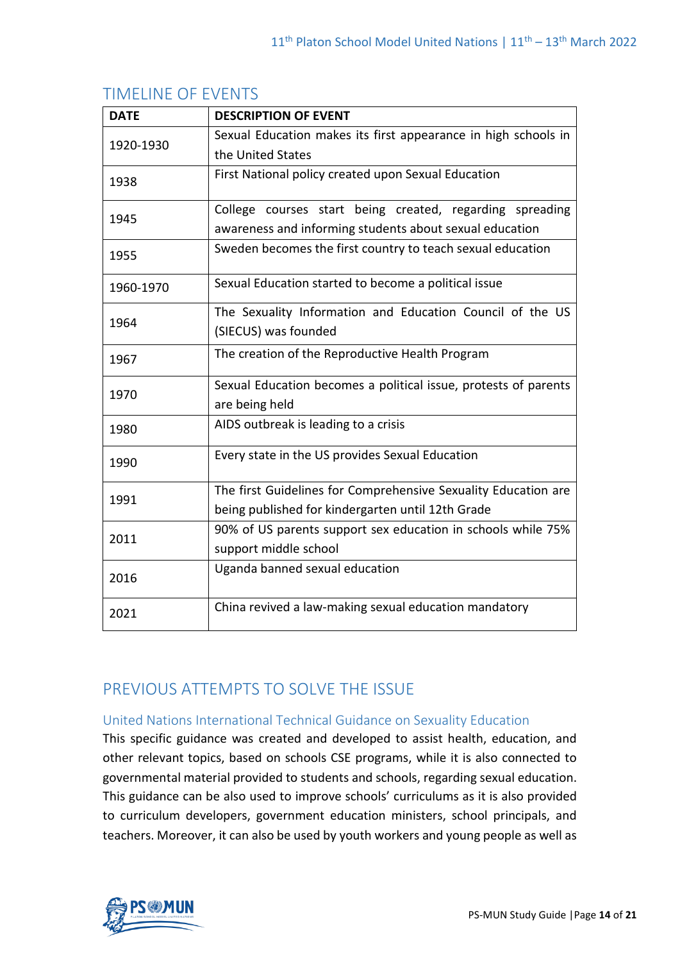| <b>DATE</b> | <b>DESCRIPTION OF EVENT</b>                                     |
|-------------|-----------------------------------------------------------------|
| 1920-1930   | Sexual Education makes its first appearance in high schools in  |
|             | the United States                                               |
| 1938        | First National policy created upon Sexual Education             |
| 1945        | College courses start being created, regarding spreading        |
|             | awareness and informing students about sexual education         |
| 1955        | Sweden becomes the first country to teach sexual education      |
| 1960-1970   | Sexual Education started to become a political issue            |
| 1964        | The Sexuality Information and Education Council of the US       |
|             | (SIECUS) was founded                                            |
| 1967        | The creation of the Reproductive Health Program                 |
| 1970        | Sexual Education becomes a political issue, protests of parents |
|             | are being held                                                  |
| 1980        | AIDS outbreak is leading to a crisis                            |
| 1990        | Every state in the US provides Sexual Education                 |
| 1991        | The first Guidelines for Comprehensive Sexuality Education are  |
|             | being published for kindergarten until 12th Grade               |
| 2011        | 90% of US parents support sex education in schools while 75%    |
|             | support middle school                                           |
| 2016        | Uganda banned sexual education                                  |
| 2021        | China revived a law-making sexual education mandatory           |

# TIMELINE OF EVENTS

# PREVIOUS ATTEMPTS TO SOLVE THE ISSUE

# United Nations International Technical Guidance on Sexuality Education

This specific guidance was created and developed to assist health, education, and other relevant topics, based on schools CSE programs, while it is also connected to governmental material provided to students and schools, regarding sexual education. This guidance can be also used to improve schools' curriculums as it is also provided to curriculum developers, government education ministers, school principals, and teachers. Moreover, it can also be used by youth workers and young people as well as

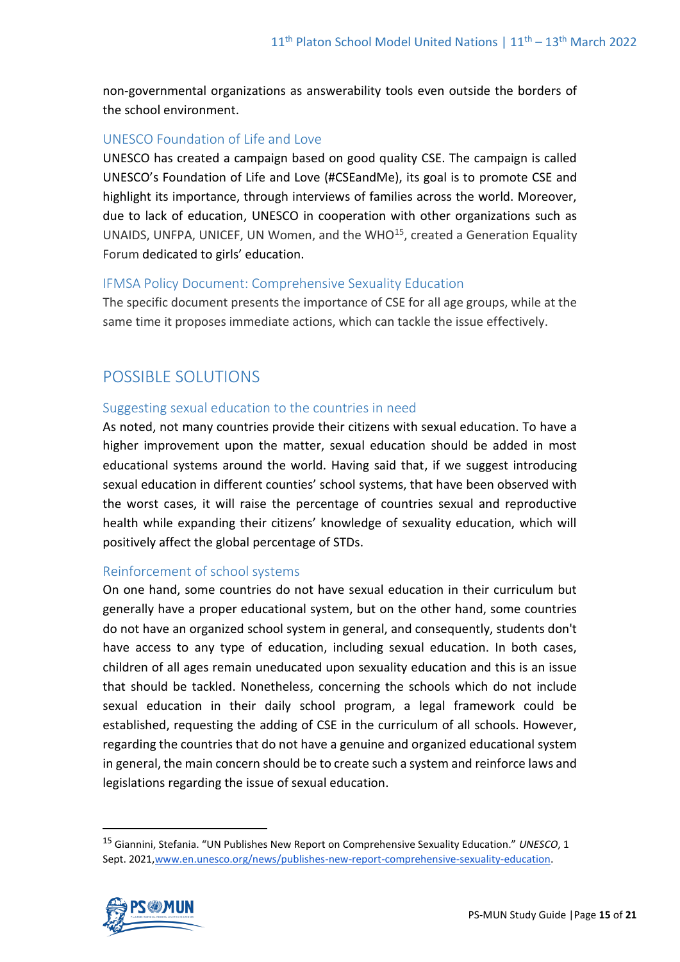non-governmental organizations as answerability tools even outside the borders of the school environment.

# UNESCO Foundation of Life and Love

UNESCO has created a campaign based on good quality CSE. The campaign is called UNESCO's Foundation of Life and Love (#CSEandMe), its goal is to promote CSE and highlight its importance, through interviews of families across the world. Moreover, due to lack of education, UNESCO in cooperation with other organizations such as UNAIDS, UNFPA, UNICEF, UN Women, and the WHO<sup>15</sup>, created a Generation Equality Forum dedicated to girls' education.

# IFMSA Policy Document: Comprehensive Sexuality Education

The specific document presents the importance of CSE for all age groups, while at the same time it proposes immediate actions, which can tackle the issue effectively.

# POSSIBLE SOLUTIONS

# Suggesting sexual education to the countries in need

As noted, not many countries provide their citizens with sexual education. To have a higher improvement upon the matter, sexual education should be added in most educational systems around the world. Having said that, if we suggest introducing sexual education in different counties' school systems, that have been observed with the worst cases, it will raise the percentage of countries sexual and reproductive health while expanding their citizens' knowledge of sexuality education, which will positively affect the global percentage of STDs.

# Reinforcement of school systems

On one hand, some countries do not have sexual education in their curriculum but generally have a proper educational system, but on the other hand, some countries do not have an organized school system in general, and consequently, students don't have access to any type of education, including sexual education. In both cases, children of all ages remain uneducated upon sexuality education and this is an issue that should be tackled. Nonetheless, concerning the schools which do not include sexual education in their daily school program, a legal framework could be established, requesting the adding of CSE in the curriculum of all schools. However, regarding the countries that do not have a genuine and organized educational system in general, the main concern should be to create such a system and reinforce laws and legislations regarding the issue of sexual education.

<sup>15</sup> Giannini, Stefania. "UN Publishes New Report on Comprehensive Sexuality Education." *UNESCO*, 1 Sept. 202[1,www.en.unesco.org/news/publishes-new-report-comprehensive-sexuality-education.](http://www.en.unesco.org/news/publishes-new-report-comprehensive-sexuality-education)

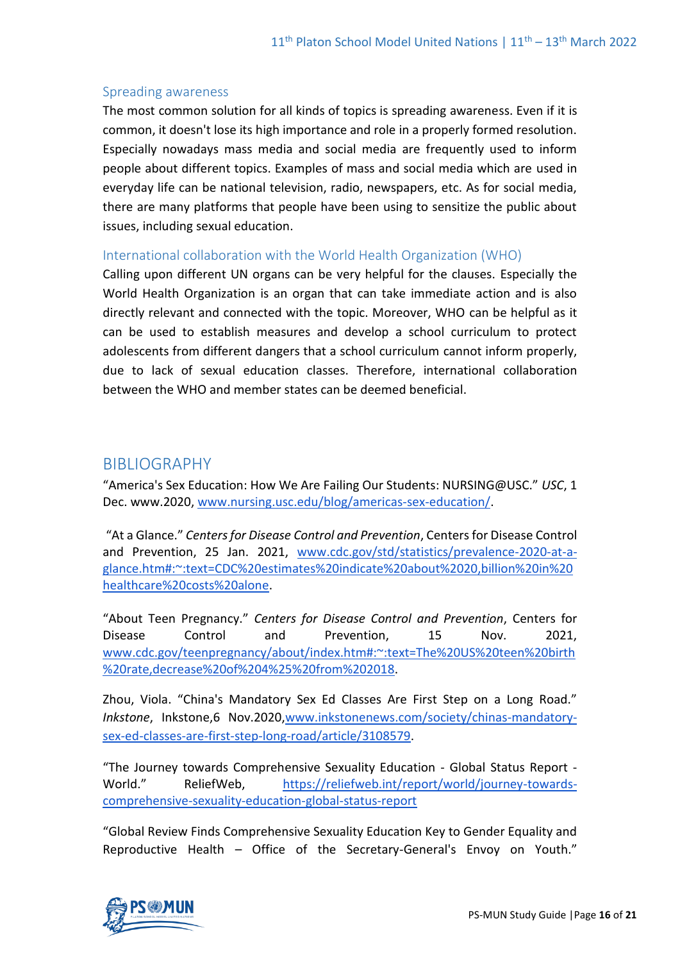#### Spreading awareness

The most common solution for all kinds of topics is spreading awareness. Even if it is common, it doesn't lose its high importance and role in a properly formed resolution. Especially nowadays mass media and social media are frequently used to inform people about different topics. Examples of mass and social media which are used in everyday life can be national television, radio, newspapers, etc. As for social media, there are many platforms that people have been using to sensitize the public about issues, including sexual education.

# International collaboration with the World Health Organization (WHO)

Calling upon different UN organs can be very helpful for the clauses. Especially the World Health Organization is an organ that can take immediate action and is also directly relevant and connected with the topic. Moreover, WHO can be helpful as it can be used to establish measures and develop a school curriculum to protect adolescents from different dangers that a school curriculum cannot inform properly, due to lack of sexual education classes. Therefore, international collaboration between the WHO and member states can be deemed beneficial.

# BIBLIOGRAPHY

"America's Sex Education: How We Are Failing Our Students: NURSING@USC." *USC*, 1 Dec. www.2020, [www.nursing.usc.edu/blog/americas-sex-education/.](http://www.nursing.usc.edu/blog/americas-sex-education/)

"At a Glance." *Centers for Disease Control and Prevention*, Centers for Disease Control and Prevention, 25 Jan. 2021, [www.cdc.gov/std/statistics/prevalence-2020-at-a](http://www.cdc.gov/std/statistics/prevalence-2020-at-a-glance.htm#:~:text=CDC%20estimates%20indicate%20about%2020,billion%20in%20healthcare%20costs%20alone)[glance.htm#:~:text=CDC%20estimates%20indicate%20about%2020,billion%20in%20](http://www.cdc.gov/std/statistics/prevalence-2020-at-a-glance.htm#:~:text=CDC%20estimates%20indicate%20about%2020,billion%20in%20healthcare%20costs%20alone) [healthcare%20costs%20alone.](http://www.cdc.gov/std/statistics/prevalence-2020-at-a-glance.htm#:~:text=CDC%20estimates%20indicate%20about%2020,billion%20in%20healthcare%20costs%20alone)

"About Teen Pregnancy." *Centers for Disease Control and Prevention*, Centers for Disease Control and Prevention, 15 Nov. 2021, [www.cdc.gov/teenpregnancy/about/index.htm#:~:text=The%20US%20teen%20birth](http://www.cdc.gov/teenpregnancy/about/index.htm#:~:text=The%20US%20teen%20birth%20rate,decrease%20of%204%25%20from%202018) [%20rate,decrease%20of%204%25%20from%202018.](http://www.cdc.gov/teenpregnancy/about/index.htm#:~:text=The%20US%20teen%20birth%20rate,decrease%20of%204%25%20from%202018)

Zhou, Viola. "China's Mandatory Sex Ed Classes Are First Step on a Long Road." *Inkstone*, Inkstone,6 Nov.2020[,www.inkstonenews.com/society/chinas-mandatory](http://www.inkstonenews.com/society/chinas-mandatory-sex-ed-classes-are-first-step-long-road/article/3108579)[sex-ed-classes-are-first-step-long-road/article/3108579.](http://www.inkstonenews.com/society/chinas-mandatory-sex-ed-classes-are-first-step-long-road/article/3108579)

"The Journey towards Comprehensive Sexuality Education - Global Status Report - World." ReliefWeb, [https://reliefweb.int/report/world/journey-towards](https://reliefweb.int/report/world/journey-towards-comprehensive-sexuality-education-global-status-report)[comprehensive-sexuality-education-global-status-report](https://reliefweb.int/report/world/journey-towards-comprehensive-sexuality-education-global-status-report)

"Global Review Finds Comprehensive Sexuality Education Key to Gender Equality and Reproductive Health – Office of the Secretary-General's Envoy on Youth."

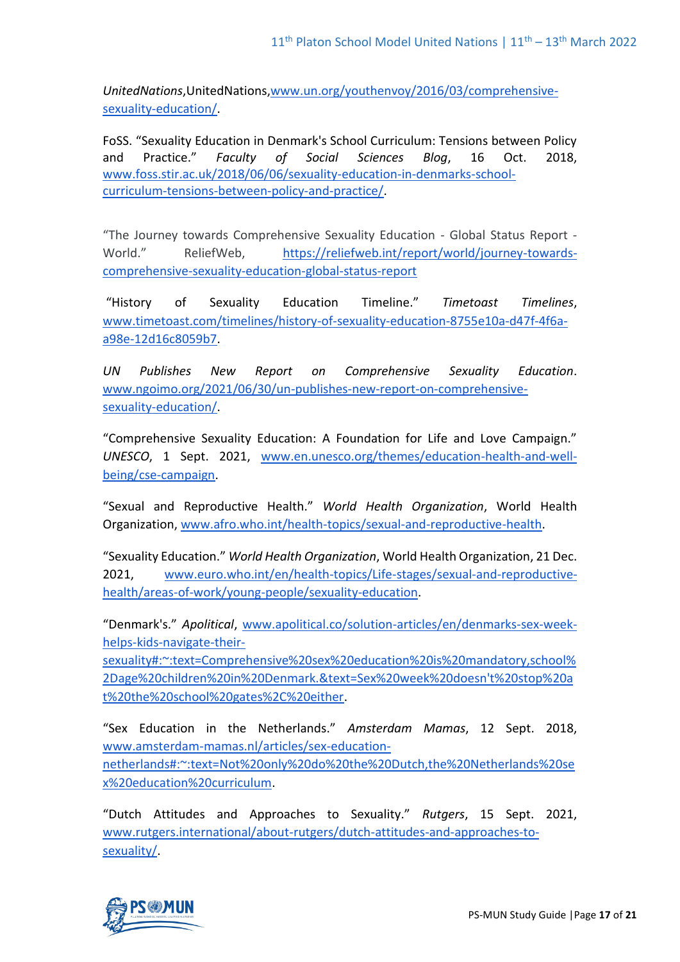*UnitedNations*,UnitedNations[,www.un.org/youthenvoy/2016/03/comprehensive](http://www.un.org/youthenvoy/2016/03/comprehensive-sexuality-education/)[sexuality-education/.](http://www.un.org/youthenvoy/2016/03/comprehensive-sexuality-education/)

FoSS. "Sexuality Education in Denmark's School Curriculum: Tensions between Policy and Practice." *Faculty of Social Sciences Blog*, 16 Oct. 2018, [www.foss.stir.ac.uk/2018/06/06/sexuality-education-in-denmarks-school](http://www.foss.stir.ac.uk/2018/06/06/sexuality-education-in-denmarks-school-curriculum-tensions-between-policy-and-practice/)[curriculum-tensions-between-policy-and-practice/.](http://www.foss.stir.ac.uk/2018/06/06/sexuality-education-in-denmarks-school-curriculum-tensions-between-policy-and-practice/)

"The Journey towards Comprehensive Sexuality Education - Global Status Report - World." ReliefWeb, [https://reliefweb.int/report/world/journey-towards](https://reliefweb.int/report/world/journey-towards-comprehensive-sexuality-education-global-status-report)[comprehensive-sexuality-education-global-status-report](https://reliefweb.int/report/world/journey-towards-comprehensive-sexuality-education-global-status-report)

"History of Sexuality Education Timeline." *Timetoast Timelines*, [www.timetoast.com/timelines/history-of-sexuality-education-8755e10a-d47f-4f6a](http://www.timetoast.com/timelines/history-of-sexuality-education-8755e10a-d47f-4f6a-a98e-12d16c8059b7)[a98e-12d16c8059b7.](http://www.timetoast.com/timelines/history-of-sexuality-education-8755e10a-d47f-4f6a-a98e-12d16c8059b7)

*UN Publishes New Report on Comprehensive Sexuality Education*. [www.ngoimo.org/2021/06/30/un-publishes-new-report-on-comprehensive](http://www.ngoimo.org/2021/06/30/un-publishes-new-report-on-comprehensive-sexuality-education/)[sexuality-education/.](http://www.ngoimo.org/2021/06/30/un-publishes-new-report-on-comprehensive-sexuality-education/)

"Comprehensive Sexuality Education: A Foundation for Life and Love Campaign." *UNESCO*, 1 Sept. 2021, [www.en.unesco.org/themes/education-health-and-well](http://www.en.unesco.org/themes/education-health-and-well-being/cse-campaign)[being/cse-campaign.](http://www.en.unesco.org/themes/education-health-and-well-being/cse-campaign)

"Sexual and Reproductive Health." *World Health Organization*, World Health Organization, [www.afro.who.int/health-topics/sexual-and-reproductive-health.](http://www.afro.who.int/health-topics/sexual-and-reproductive-health)

"Sexuality Education." *World Health Organization*, World Health Organization, 21 Dec. 2021, [www.euro.who.int/en/health-topics/Life-stages/sexual-and-reproductive](http://www.euro.who.int/en/health-topics/Life-stages/sexual-and-reproductive-health/areas-of-work/young-people/sexuality-education)[health/areas-of-work/young-people/sexuality-education.](http://www.euro.who.int/en/health-topics/Life-stages/sexual-and-reproductive-health/areas-of-work/young-people/sexuality-education)

"Denmark's." *Apolitical*, [www.apolitical.co/solution-articles/en/denmarks-sex-week](http://www.apolitical.co/solution-articles/en/denmarks-sex-week-helps-kids-navigate-their-sexuality#:~:text=Comprehensive%20sex%20education%20is%20mandatory,school%2Dage%20children%20in%20Denmark.&text=Sex%20week%20doesn)[helps-kids-navigate-their-](http://www.apolitical.co/solution-articles/en/denmarks-sex-week-helps-kids-navigate-their-sexuality#:~:text=Comprehensive%20sex%20education%20is%20mandatory,school%2Dage%20children%20in%20Denmark.&text=Sex%20week%20doesn)

[sexuality#:~:text=Comprehensive%20sex%20education%20is%20mandatory,school%](http://www.apolitical.co/solution-articles/en/denmarks-sex-week-helps-kids-navigate-their-sexuality#:~:text=Comprehensive%20sex%20education%20is%20mandatory,school%2Dage%20children%20in%20Denmark.&text=Sex%20week%20doesn) [2Dage%20children%20in%20Denmark.&text=Sex%20week%20doesn't%20stop%20a](http://www.apolitical.co/solution-articles/en/denmarks-sex-week-helps-kids-navigate-their-sexuality#:~:text=Comprehensive%20sex%20education%20is%20mandatory,school%2Dage%20children%20in%20Denmark.&text=Sex%20week%20doesn) [t%20the%20school%20gates%2C%20either.](http://www.apolitical.co/solution-articles/en/denmarks-sex-week-helps-kids-navigate-their-sexuality#:~:text=Comprehensive%20sex%20education%20is%20mandatory,school%2Dage%20children%20in%20Denmark.&text=Sex%20week%20doesn)

"Sex Education in the Netherlands." *Amsterdam Mamas*, 12 Sept. 2018, [www.amsterdam-mamas.nl/articles/sex-education](http://www.amsterdam-mamas.nl/articles/sex-education-netherlands#:~:text=Not%20only%20do%20the%20Dutch,the%20Netherlands%20sex%20education%20curriculum)[netherlands#:~:text=Not%20only%20do%20the%20Dutch,the%20Netherlands%20se](http://www.amsterdam-mamas.nl/articles/sex-education-netherlands#:~:text=Not%20only%20do%20the%20Dutch,the%20Netherlands%20sex%20education%20curriculum) [x%20education%20curriculum.](http://www.amsterdam-mamas.nl/articles/sex-education-netherlands#:~:text=Not%20only%20do%20the%20Dutch,the%20Netherlands%20sex%20education%20curriculum)

"Dutch Attitudes and Approaches to Sexuality." *Rutgers*, 15 Sept. 2021, [www.rutgers.international/about-rutgers/dutch-attitudes-and-approaches-to](http://www.rutgers.international/about-rutgers/dutch-attitudes-and-approaches-to-sexuality/)[sexuality/.](http://www.rutgers.international/about-rutgers/dutch-attitudes-and-approaches-to-sexuality/)

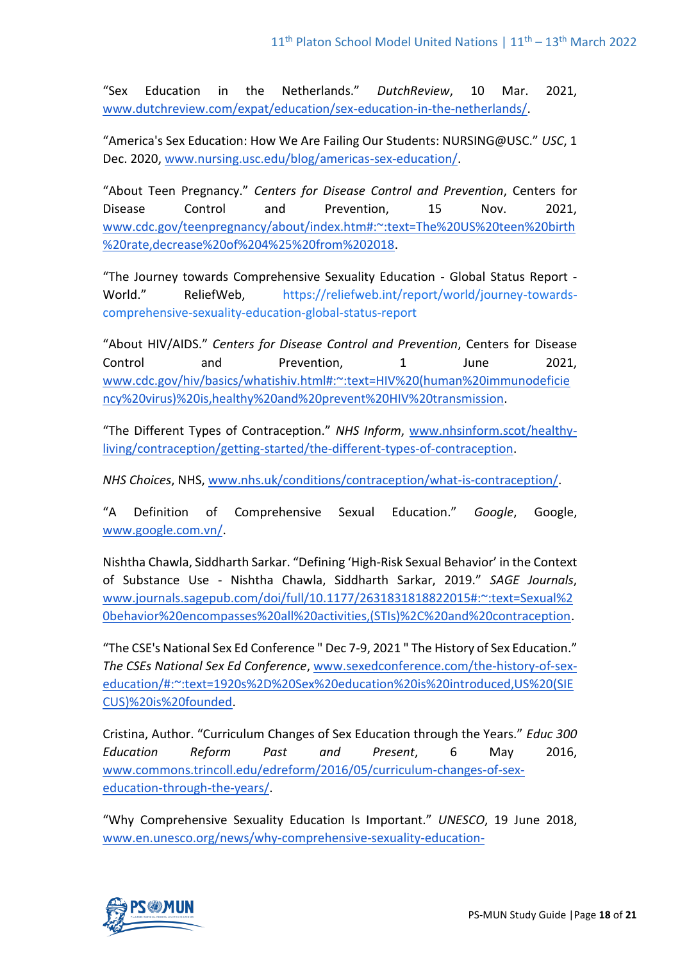"Sex Education in the Netherlands." *DutchReview*, 10 Mar. 2021, [www.dutchreview.com/expat/education/sex-education-in-the-netherlands/.](http://www.dutchreview.com/expat/education/sex-education-in-the-netherlands/)

"America's Sex Education: How We Are Failing Our Students: NURSING@USC." *USC*, 1 Dec. 2020, [www.nursing.usc.edu/blog/americas-sex-education/.](http://www.nursing.usc.edu/blog/americas-sex-education/)

"About Teen Pregnancy." *Centers for Disease Control and Prevention*, Centers for Disease Control and Prevention, 15 Nov. 2021, [www.cdc.gov/teenpregnancy/about/index.htm#:~:text=The%20US%20teen%20birth](http://www.cdc.gov/teenpregnancy/about/index.htm#:~:text=The%20US%20teen%20birth%20rate,decrease%20of%204%25%20from%202018) [%20rate,decrease%20of%204%25%20from%202018.](http://www.cdc.gov/teenpregnancy/about/index.htm#:~:text=The%20US%20teen%20birth%20rate,decrease%20of%204%25%20from%202018)

"The Journey towards Comprehensive Sexuality Education - Global Status Report - World." ReliefWeb, [https://reliefweb.int/report/world/journey-towards](https://reliefweb.int/report/world/journey-towards-comprehensive-sexuality-education-global-status-report)[comprehensive-sexuality-education-global-status-report](https://reliefweb.int/report/world/journey-towards-comprehensive-sexuality-education-global-status-report)

"About HIV/AIDS." *Centers for Disease Control and Prevention*, Centers for Disease Control and Prevention, 1 June 2021, [www.cdc.gov/hiv/basics/whatishiv.html#:~:text=HIV%20\(human%20immunodeficie](http://www.cdc.gov/hiv/basics/whatishiv.html#:~:text=HIV%20(human%20immunodeficiency%20virus)%20is,healthy%20and%20prevent%20HIV%20transmission) [ncy%20virus\)%20is,healthy%20and%20prevent%20HIV%20transmission.](http://www.cdc.gov/hiv/basics/whatishiv.html#:~:text=HIV%20(human%20immunodeficiency%20virus)%20is,healthy%20and%20prevent%20HIV%20transmission)

"The Different Types of Contraception." *NHS Inform*, [www.nhsinform.scot/healthy](http://www.nhsinform.scot/healthy-living/contraception/getting-started/the-different-types-of-contraception)[living/contraception/getting-started/the-different-types-of-contraception.](http://www.nhsinform.scot/healthy-living/contraception/getting-started/the-different-types-of-contraception)

*NHS Choices*, NHS, [www.nhs.uk/conditions/contraception/what-is-contraception/.](http://www.nhs.uk/conditions/contraception/what-is-contraception/)

"A Definition of Comprehensive Sexual Education." *Google*, Google, [www.google.com.vn/.](http://www.google.com.vn/)

Nishtha Chawla, Siddharth Sarkar. "Defining 'High-Risk Sexual Behavior' in the Context of Substance Use - Nishtha Chawla, Siddharth Sarkar, 2019." *SAGE Journals*, [www.journals.sagepub.com/doi/full/10.1177/2631831818822015#:~:text=Sexual%2](http://www.journals.sagepub.com/doi/full/10.1177/2631831818822015#:~:text=Sexual%20behavior%20encompasses%20all%20activities,(STIs)%2C%20and%20contraception) [0behavior%20encompasses%20all%20activities,\(STIs\)%2C%20and%20contraception.](http://www.journals.sagepub.com/doi/full/10.1177/2631831818822015#:~:text=Sexual%20behavior%20encompasses%20all%20activities,(STIs)%2C%20and%20contraception)

"The CSE's National Sex Ed Conference " Dec 7-9, 2021 " The History of Sex Education." *The CSEs National Sex Ed Conference*, [www.sexedconference.com/the-history-of-sex](http://www.sexedconference.com/the-history-of-sex-education/#:~:text=1920s%2D%20Sex%20education%20is%20introduced,US%20(SIECUS)%20is%20founded)[education/#:~:text=1920s%2D%20Sex%20education%20is%20introduced,US%20\(SIE](http://www.sexedconference.com/the-history-of-sex-education/#:~:text=1920s%2D%20Sex%20education%20is%20introduced,US%20(SIECUS)%20is%20founded) [CUS\)%20is%20founded.](http://www.sexedconference.com/the-history-of-sex-education/#:~:text=1920s%2D%20Sex%20education%20is%20introduced,US%20(SIECUS)%20is%20founded)

Cristina, Author. "Curriculum Changes of Sex Education through the Years." *Educ 300 Education Reform Past and Present*, 6 May 2016, [www.commons.trincoll.edu/edreform/2016/05/curriculum-changes-of-sex](http://www.commons.trincoll.edu/edreform/2016/05/curriculum-changes-of-sex-education-through-the-years/)[education-through-the-years/.](http://www.commons.trincoll.edu/edreform/2016/05/curriculum-changes-of-sex-education-through-the-years/)

"Why Comprehensive Sexuality Education Is Important." *UNESCO*, 19 June 2018, [www.en.unesco.org/news/why-comprehensive-sexuality-education-](http://www.en.unesco.org/news/why-comprehensive-sexuality-education-important#:~:text=Sexuality%20education%20has%20positive%20effects,or%20STI%2FHIV%20infection%20rates)

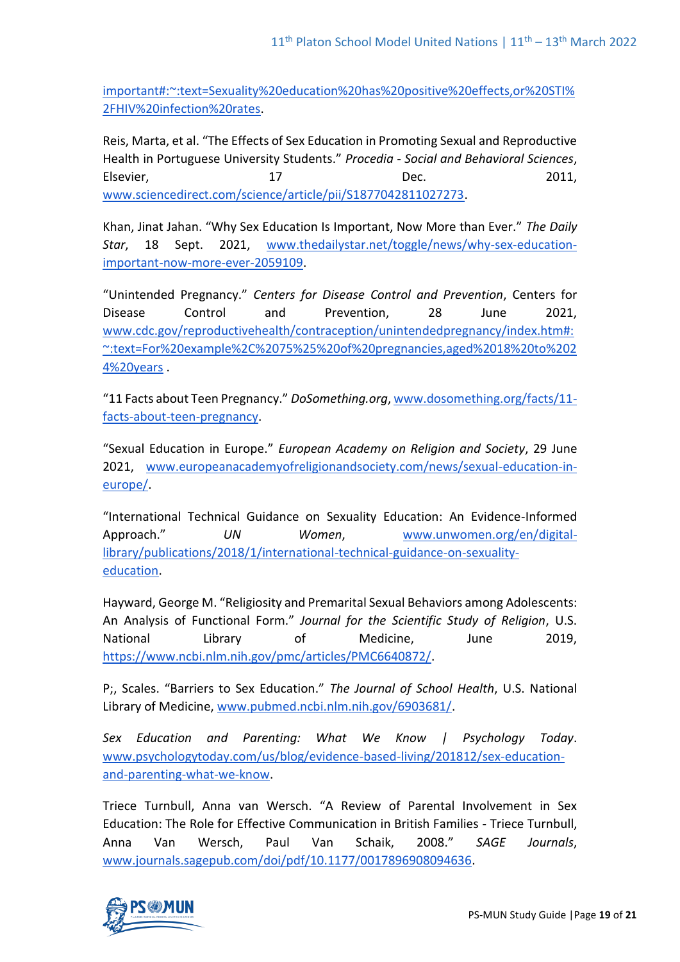[important#:~:text=Sexuality%20education%20has%20positive%20effects,or%20STI%](http://www.en.unesco.org/news/why-comprehensive-sexuality-education-important#:~:text=Sexuality%20education%20has%20positive%20effects,or%20STI%2FHIV%20infection%20rates) [2FHIV%20infection%20rates.](http://www.en.unesco.org/news/why-comprehensive-sexuality-education-important#:~:text=Sexuality%20education%20has%20positive%20effects,or%20STI%2FHIV%20infection%20rates)

Reis, Marta, et al. "The Effects of Sex Education in Promoting Sexual and Reproductive Health in Portuguese University Students." *Procedia - Social and Behavioral Sciences*, Elsevier, 17 and 17 Dec. 2011, [www.sciencedirect.com/science/article/pii/S1877042811027273.](http://www.sciencedirect.com/science/article/pii/S1877042811027273)

Khan, Jinat Jahan. "Why Sex Education Is Important, Now More than Ever." *The Daily Star*, 18 Sept. 2021, [www.thedailystar.net/toggle/news/why-sex-education](http://www.thedailystar.net/toggle/news/why-sex-education-important-now-more-ever-2059109)[important-now-more-ever-2059109.](http://www.thedailystar.net/toggle/news/why-sex-education-important-now-more-ever-2059109)

"Unintended Pregnancy." *Centers for Disease Control and Prevention*, Centers for Disease Control and Prevention, 28 June 2021, [www.cdc.gov/reproductivehealth/contraception/unintendedpregnancy/index.htm#:](http://www.cdc.gov/reproductivehealth/contraception/unintendedpregnancy/index.htm#:~:text=For%20example%2C%2075%25%20of%20pregnancies,aged%2018%20to%2024%20years) [~:text=For%20example%2C%2075%25%20of%20pregnancies,aged%2018%20to%202](http://www.cdc.gov/reproductivehealth/contraception/unintendedpregnancy/index.htm#:~:text=For%20example%2C%2075%25%20of%20pregnancies,aged%2018%20to%2024%20years) [4%20years](http://www.cdc.gov/reproductivehealth/contraception/unintendedpregnancy/index.htm#:~:text=For%20example%2C%2075%25%20of%20pregnancies,aged%2018%20to%2024%20years) .

"11 Facts about Teen Pregnancy." *DoSomething.org*, [www.dosomething.org/facts/11](http://www.dosomething.org/facts/11-facts-about-teen-pregnancy) [facts-about-teen-pregnancy.](http://www.dosomething.org/facts/11-facts-about-teen-pregnancy)

"Sexual Education in Europe." *European Academy on Religion and Society*, 29 June 2021, [www.europeanacademyofreligionandsociety.com/news/sexual-education-in](http://www.europeanacademyofreligionandsociety.com/news/sexual-education-in-europe/)[europe/.](http://www.europeanacademyofreligionandsociety.com/news/sexual-education-in-europe/)

"International Technical Guidance on Sexuality Education: An Evidence-Informed Approach." *UN Women*, [www.unwomen.org/en/digital](http://www.unwomen.org/en/digital-library/publications/2018/1/international-technical-guidance-on-sexuality-education)[library/publications/2018/1/international-technical-guidance-on-sexuality](http://www.unwomen.org/en/digital-library/publications/2018/1/international-technical-guidance-on-sexuality-education)[education.](http://www.unwomen.org/en/digital-library/publications/2018/1/international-technical-guidance-on-sexuality-education)

Hayward, George M. "Religiosity and Premarital Sexual Behaviors among Adolescents: An Analysis of Functional Form." *Journal for the Scientific Study of Religion*, U.S. National Library of Medicine, June 2019, [https://www.ncbi.nlm.nih.gov/pmc/articles/PMC6640872/.](https://www.ncbi.nlm.nih.gov/pmc/articles/PMC6640872/)

P;, Scales. "Barriers to Sex Education." *The Journal of School Health*, U.S. National Library of Medicine, [www.pubmed.ncbi.nlm.nih.gov/6903681/.](http://www.pubmed.ncbi.nlm.nih.gov/6903681/)

*Sex Education and Parenting: What We Know | Psychology Today*. [www.psychologytoday.com/us/blog/evidence-based-living/201812/sex-education](http://www.psychologytoday.com/us/blog/evidence-based-living/201812/sex-education-and-parenting-what-we-know)[and-parenting-what-we-know.](http://www.psychologytoday.com/us/blog/evidence-based-living/201812/sex-education-and-parenting-what-we-know)

Triece Turnbull, Anna van Wersch. "A Review of Parental Involvement in Sex Education: The Role for Effective Communication in British Families - Triece Turnbull, Anna Van Wersch, Paul Van Schaik, 2008." *SAGE Journals*, [www.journals.sagepub.com/doi/pdf/10.1177/0017896908094636.](http://www.journals.sagepub.com/doi/pdf/10.1177/0017896908094636)

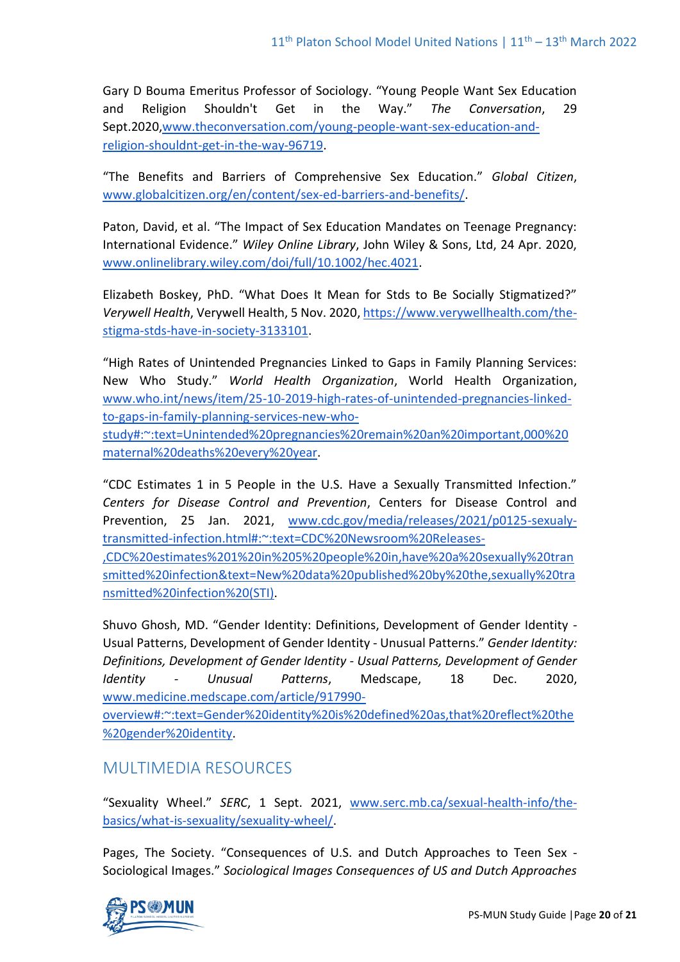Gary D Bouma Emeritus Professor of Sociology. "Young People Want Sex Education and Religion Shouldn't Get in the Way." *The Conversation*, 29 Sept.2020[,www.theconversation.com/young-people-want-sex-education-and](http://www.theconversation.com/young-people-want-sex-education-and-religion-shouldnt-get-in-the-way-96719)[religion-shouldnt-get-in-the-way-96719.](http://www.theconversation.com/young-people-want-sex-education-and-religion-shouldnt-get-in-the-way-96719)

"The Benefits and Barriers of Comprehensive Sex Education." *Global Citizen*, [www.globalcitizen.org/en/content/sex-ed-barriers-and-benefits/.](http://www.globalcitizen.org/en/content/sex-ed-barriers-and-benefits/)

Paton, David, et al. "The Impact of Sex Education Mandates on Teenage Pregnancy: International Evidence." *Wiley Online Library*, John Wiley & Sons, Ltd, 24 Apr. 2020, [www.onlinelibrary.wiley.com/doi/full/10.1002/hec.4021.](http://www.onlinelibrary.wiley.com/doi/full/10.1002/hec.4021)

Elizabeth Boskey, PhD. "What Does It Mean for Stds to Be Socially Stigmatized?" *Verywell Health*, Verywell Health, 5 Nov. 2020, [https://www.verywellhealth.com/the](https://www.verywellhealth.com/the-stigma-stds-have-in-society-3133101)[stigma-stds-have-in-society-3133101.](https://www.verywellhealth.com/the-stigma-stds-have-in-society-3133101)

"High Rates of Unintended Pregnancies Linked to Gaps in Family Planning Services: New Who Study." *World Health Organization*, World Health Organization, [www.who.int/news/item/25-10-2019-high-rates-of-unintended-pregnancies-linked](http://www.who.int/news/item/25-10-2019-high-rates-of-unintended-pregnancies-linked-to-gaps-in-family-planning-services-new-who-study#:~:text=Unintended%20pregnancies%20remain%20an%20important,000%20maternal%20deaths%20every%20year)[to-gaps-in-family-planning-services-new-who-](http://www.who.int/news/item/25-10-2019-high-rates-of-unintended-pregnancies-linked-to-gaps-in-family-planning-services-new-who-study#:~:text=Unintended%20pregnancies%20remain%20an%20important,000%20maternal%20deaths%20every%20year)

[study#:~:text=Unintended%20pregnancies%20remain%20an%20important,000%20](http://www.who.int/news/item/25-10-2019-high-rates-of-unintended-pregnancies-linked-to-gaps-in-family-planning-services-new-who-study#:~:text=Unintended%20pregnancies%20remain%20an%20important,000%20maternal%20deaths%20every%20year) [maternal%20deaths%20every%20year.](http://www.who.int/news/item/25-10-2019-high-rates-of-unintended-pregnancies-linked-to-gaps-in-family-planning-services-new-who-study#:~:text=Unintended%20pregnancies%20remain%20an%20important,000%20maternal%20deaths%20every%20year)

"CDC Estimates 1 in 5 People in the U.S. Have a Sexually Transmitted Infection." *Centers for Disease Control and Prevention*, Centers for Disease Control and Prevention, 25 Jan. 2021, [www.cdc.gov/media/releases/2021/p0125-sexualy](http://www.cdc.gov/media/releases/2021/p0125-sexualy-transmitted-infection.html#:~:text=CDC%20Newsroom%20Releases-,CDC%20estimates%201%20in%205%20people%20in,have%20a%20sexually%20transmitted%20infection&text=New%20data%20published%20by%20the,sexually%20transmitted%20infection%20(STI))[transmitted-infection.html#:~:text=CDC%20Newsroom%20Releases-](http://www.cdc.gov/media/releases/2021/p0125-sexualy-transmitted-infection.html#:~:text=CDC%20Newsroom%20Releases-,CDC%20estimates%201%20in%205%20people%20in,have%20a%20sexually%20transmitted%20infection&text=New%20data%20published%20by%20the,sexually%20transmitted%20infection%20(STI)) [,CDC%20estimates%201%20in%205%20people%20in,have%20a%20sexually%20tran](http://www.cdc.gov/media/releases/2021/p0125-sexualy-transmitted-infection.html#:~:text=CDC%20Newsroom%20Releases-,CDC%20estimates%201%20in%205%20people%20in,have%20a%20sexually%20transmitted%20infection&text=New%20data%20published%20by%20the,sexually%20transmitted%20infection%20(STI))

[smitted%20infection&text=New%20data%20published%20by%20the,sexually%20tra](http://www.cdc.gov/media/releases/2021/p0125-sexualy-transmitted-infection.html#:~:text=CDC%20Newsroom%20Releases-,CDC%20estimates%201%20in%205%20people%20in,have%20a%20sexually%20transmitted%20infection&text=New%20data%20published%20by%20the,sexually%20transmitted%20infection%20(STI)) [nsmitted%20infection%20\(STI\).](http://www.cdc.gov/media/releases/2021/p0125-sexualy-transmitted-infection.html#:~:text=CDC%20Newsroom%20Releases-,CDC%20estimates%201%20in%205%20people%20in,have%20a%20sexually%20transmitted%20infection&text=New%20data%20published%20by%20the,sexually%20transmitted%20infection%20(STI))

Shuvo Ghosh, MD. "Gender Identity: Definitions, Development of Gender Identity - Usual Patterns, Development of Gender Identity - Unusual Patterns." *Gender Identity: Definitions, Development of Gender Identity - Usual Patterns, Development of Gender Identity - Unusual Patterns*, Medscape, 18 Dec. 2020, [www.medicine.medscape.com/article/917990-](http://www.medicine.medscape.com/article/917990-overview#:~:text=Gender%20identity%20is%20defined%20as,that%20reflect%20the%20gender%20identity)

[overview#:~:text=Gender%20identity%20is%20defined%20as,that%20reflect%20the](http://www.medicine.medscape.com/article/917990-overview#:~:text=Gender%20identity%20is%20defined%20as,that%20reflect%20the%20gender%20identity) [%20gender%20identity.](http://www.medicine.medscape.com/article/917990-overview#:~:text=Gender%20identity%20is%20defined%20as,that%20reflect%20the%20gender%20identity)

# MULTIMEDIA RESOURCES

"Sexuality Wheel." *SERC*, 1 Sept. 2021, [www.serc.mb.ca/sexual-health-info/the](http://www.serc.mb.ca/sexual-health-info/the-basics/what-is-sexuality/sexuality-wheel/)[basics/what-is-sexuality/sexuality-wheel/.](http://www.serc.mb.ca/sexual-health-info/the-basics/what-is-sexuality/sexuality-wheel/)

Pages, The Society. "Consequences of U.S. and Dutch Approaches to Teen Sex - Sociological Images." *Sociological Images Consequences of US and Dutch Approaches*